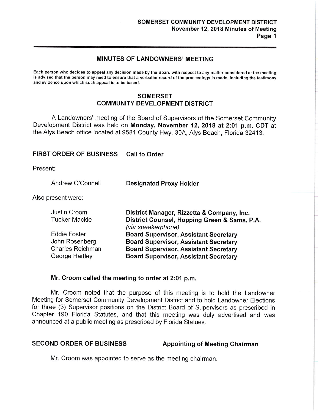# **MINUTES OF LANDOWNERS' MEETING**

Each person who decides to appeal any decision made by the Board with respect to any matter considered at the meeting is advised that the person may need to ensure that a verbatim record of the proceedings is made, including the testimony and evidence upon which such appeal is to be based.

# **SOMERSET COMMUNITY DEVELOPMENT DISTRICT**

A Landowners' meeting of the Board of Supervisors of the Somerset Community Development District was held on **Monday, November 12, 2018 at 2:01 p.m. CDT** at the Alys Beach office located at 9581 County Hwy. 30A, Alys Beach, Florida 32413.

### **FIRST ORDER OF BUSINESS Call to Order**

Present:

| Andrew O'Connell | <b>Designated Proxy Holder</b> |
|------------------|--------------------------------|
|------------------|--------------------------------|

Also present were:

| Justin Croom     | District Manager, Rizzetta & Company, Inc.   |
|------------------|----------------------------------------------|
| Tucker Mackie    | District Counsel, Hopping Green & Sams, P.A. |
|                  | (via speakerphone)                           |
| Eddie Foster     | <b>Board Supervisor, Assistant Secretary</b> |
| John Rosenberg   | <b>Board Supervisor, Assistant Secretary</b> |
| Charles Reichman | <b>Board Supervisor, Assistant Secretary</b> |
| George Hartley   | <b>Board Supervisor, Assistant Secretary</b> |
|                  |                                              |

### **Mr. Croom called the meeting to order at 2:01 p.m.**

Mr. Croom noted that the purpose of this meeting is to hold the Landowner Meeting for Somerset Community Development District and to hold Landowner Elections for three (3) Supervisor positions on the District Board of Supervisors as prescribed in Chapter 190 Florida Statutes, and that this meeting was duly advertised and was announced at a public meeting as prescribed by Florida Statues.

### SECOND ORDER OF BUSINESS Appointing of Meeting Chairman

Mr. Croom was appointed to serve as the meeting chairman.